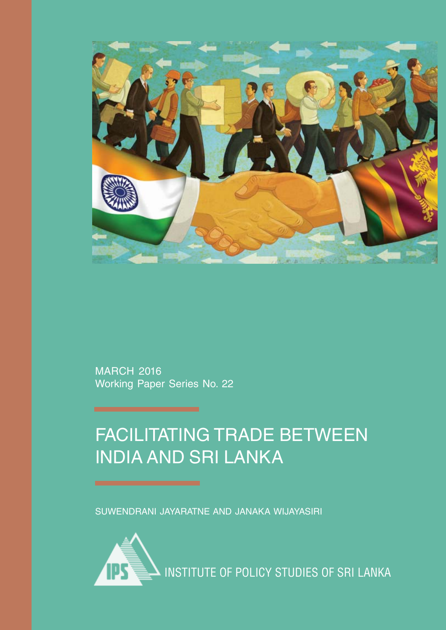

MARCH 2016 Working Paper Series No. 22

## FACILITATING TRADE BETWEEN INDIA AND SRI LANKA

SUWENDRANI JAYARATNE AND JANAKA WIJAYASIRI

INSTITUTE OF POLICY STUDIES OF SRI LANKA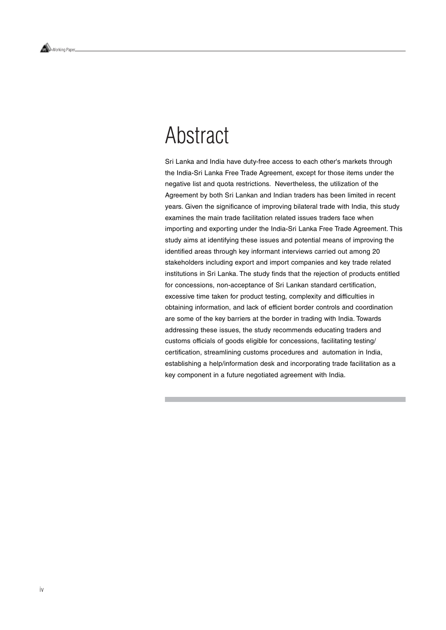## Abstract

Sri Lanka and India have duty-free access to each other's markets through the India-Sri Lanka Free Trade Agreement, except for those items under the negative list and quota restrictions. Nevertheless, the utilization of the Agreement by both Sri Lankan and Indian traders has been limited in recent years. Given the significance of improving bilateral trade with India, this study examines the main trade facilitation related issues traders face when importing and exporting under the India-Sri Lanka Free Trade Agreement. This study aims at identifying these issues and potential means of improving the identified areas through key informant interviews carried out among 20 stakeholders including export and import companies and key trade related institutions in Sri Lanka. The study finds that the rejection of products entitled for concessions, non-acceptance of Sri Lankan standard certification, excessive time taken for product testing, complexity and difficulties in obtaining information, and lack of efficient border controls and coordination are some of the key barriers at the border in trading with India. Towards addressing these issues, the study recommends educating traders and customs officials of goods eligible for concessions, facilitating testing/ certification, streamlining customs procedures and automation in India, establishing a help/information desk and incorporating trade facilitation as a key component in a future negotiated agreement with India.

Working Paper.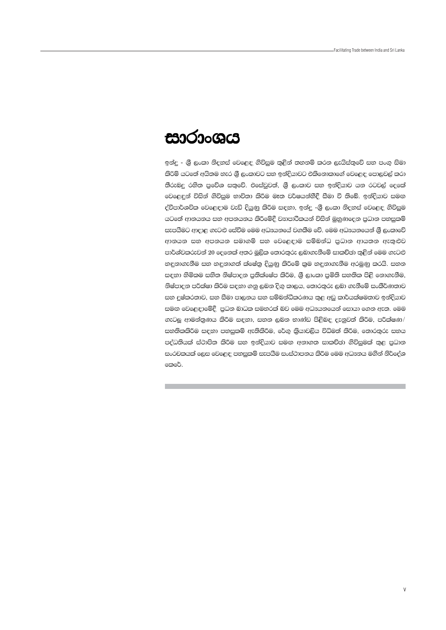## සාරාංශය

ඉන්දු - ශීූ ලංකා නිදහස් වෙළෙඳ ගිවිසුම තුළින් තහනම් කරන ලැයිස්තුවේ සහ පංගු සිමා කිරිම් යටතේ අයිතම හැර ශී ලංකාවට සහ ඉන්දියාවට එකිනොකාගේ වෙළෙඳ පොලුවල් කරා තීරුබදු රහිත පුවේශ සතුවේ. එසේවුවත්, ශුී ලංකාව සහ ඉන්දියාව යන රටවල් දෙකේ වෙළෙඳුන් විසින් ගිවිසුම භාවිතා කිරීම මෑත වර්ෂයන්හීදී සීමා වී තිබේ. ඉන්දියාව සමඟ ද්වීපාර්ශවික වෙළෙඳාම වැඩි දියුණු කිරීම සඳහා, ඉන්දු -ශීූ ලංකා නිදහස් වෙළෙඳ ගිවිසුම යටතේ ආනයනය සහ අපනයනය කිරීමේදී වනපාරිකයන් විසින් මහණදෙන පුධාන පහසුකම් සැපයීමට ආදාළ ගැටළු සේවීම මෙම අධාපනයේ වගකීම වේ. මෙම අධාපනයෙන් ශූී ලංකාවේ ආනයන සහ අපනයන සමාගම් සහ වෙළෙඳාම සම්බන්ධ පුධාන ආයතන ඇතුළුව පාර්ශ්වකරුවන් 20 දෙනෙක් අතර මුලික තොරතුරු ලබාගැනීමේ සාකච්ඡා තුළින් මෙම ගැටළු හඳුනාගැනීම සහ හඳුනාගත් ක්ෂේතු දියුණු කිරීමේ කුම හඳුනාගැනීම අරමුණු කරයි. සහන සඳහා හිමිකම සහිත නිෂ්පාදන පුතික්ෂේප කිරීම, ශී ලාංකා පමිති සහතික පිළි නොගැනීම, නිෂ්පාදන පරීක්ෂා කිරීම සඳහා ගනු ලබන දිගු කාලය, තොරතුරු ලබා ගැනීමේ සංකීර්ණතාව සහ දුෂ්කරතාව, සහ සීමා පාලනය සහ සම්බන්ධීකරණය තුළ අඩු කාර්යක්ෂමතාව ඉන්දියාව සමඟ වෙළෙඳාමේදී. පුධන බාධක සමහරක් බව මෙම අධෘයනයෙන් සොයා ගෙන ඇත. මෙම ගැටලූ ආමන්තුණය කිරීම සඳහා, සහන ලබන භාණ්ඩ පිළිබඳ දැනුවත් කිරීම, පරීක්ෂණ/ සනතිකකිරීම සඳහා පහසුකම් ඇතිකිරීම, රේගු කියාවලිය විධිමත් කිරීම, තොරතුරු සහය පද්ධතියක් ස්ථාපිත කිරීම සහ ඉන්දියාව සමඟ අනාගත සාකච්ඡා ගිවිසුමක් තුළ පුධාන සංරචකයක් ලෙස වෙළෙඳ පහසුකම් සැපයීම සංස්ථාපනය කිරීම මෙම අධාපනය මගින් නිර්දේශ කෙරේ.